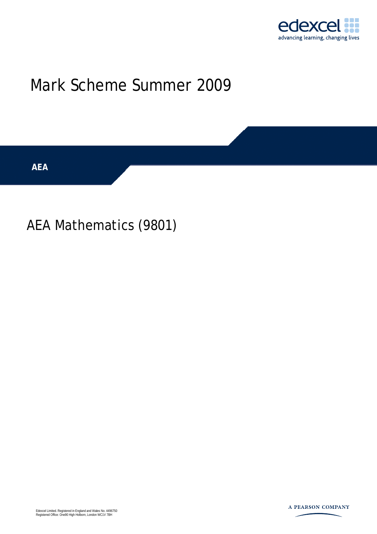

## Mark Scheme Summer 2009

**AEA** 

## AEA Mathematics (9801)

Edexcel Limited. Registered in England and Wales No. 4496750 Registered Office: One90 High Holborn, London WC1V 7BH

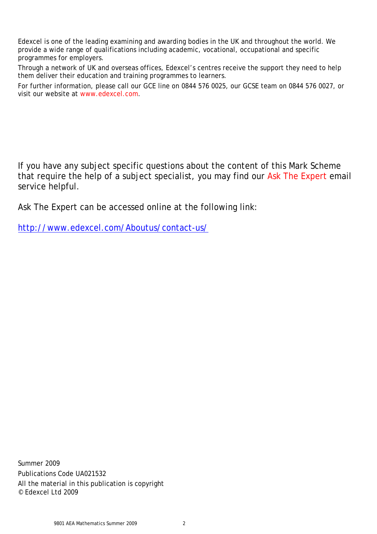Edexcel is one of the leading examining and awarding bodies in the UK and throughout the world. We provide a wide range of qualifications including academic, vocational, occupational and specific programmes for employers.

Through a network of UK and overseas offices, Edexcel's centres receive the support they need to help them deliver their education and training programmes to learners.

For further information, please call our GCE line on 0844 576 0025, our GCSE team on 0844 576 0027, or visit our website at www.edexcel.com.

If you have any subject specific questions about the content of this Mark Scheme that require the help of a subject specialist, you may find our Ask The Expert email service helpful.

Ask The Expert can be accessed online at the following link:

http://www.edexcel.com/Aboutus/contact-us/

Summer 2009 Publications Code UA021532 All the material in this publication is copyright © Edexcel Ltd 2009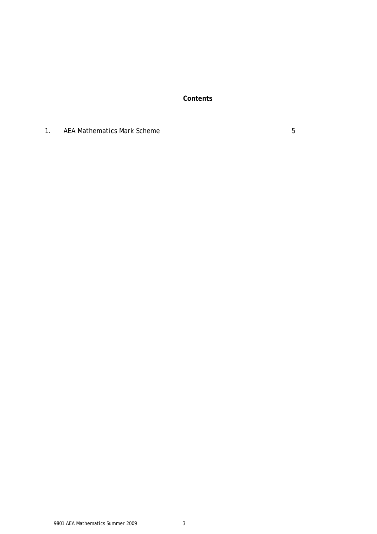**Contents** 

1. AEA Mathematics Mark Scheme 6 and 1. AEA Mathematics Mark Scheme 5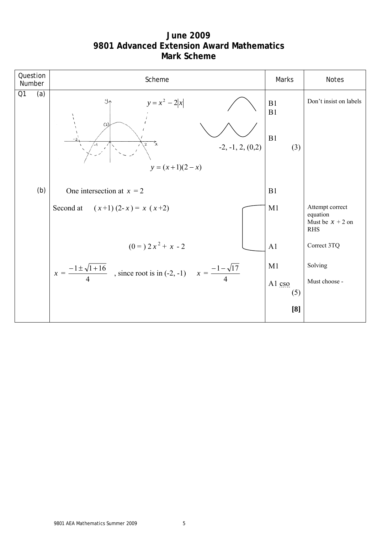**June 2009 9801 Advanced Extension Award Mathematics Mark Scheme**

|                | Question<br>Number | Scheme                                                                                       | Marks                  | Notes                                                           |
|----------------|--------------------|----------------------------------------------------------------------------------------------|------------------------|-----------------------------------------------------------------|
| Q <sub>1</sub> | (a)                | Y^<br>$y = x^2 - 2 x $<br>(2)<br>玄<br>$\mathbf{2}$<br>$-2, -1, 2, (0,2)$<br>$y = (x+1)(2-x)$ | B1<br>B1<br>B1<br>(3)  | Don't insist on labels                                          |
|                | (b)                | One intersection at $x = 2$                                                                  | B1                     |                                                                 |
|                |                    | Second at $(x+1)(2-x) = x(x+2)$                                                              | M1                     | Attempt correct<br>equation<br>Must be $x + 2$ on<br><b>RHS</b> |
|                |                    | $(0 = 2x^2 + x - 2)$                                                                         | A1                     | Correct 3TQ                                                     |
|                |                    | $x = \frac{-1 \pm \sqrt{1+16}}{4}$ , since root is in (-2, -1) $x = \frac{-1-\sqrt{17}}{4}$  | M1<br>Al $\cos$<br>(5) | Solving<br>Must choose -                                        |
|                |                    |                                                                                              | [8]                    |                                                                 |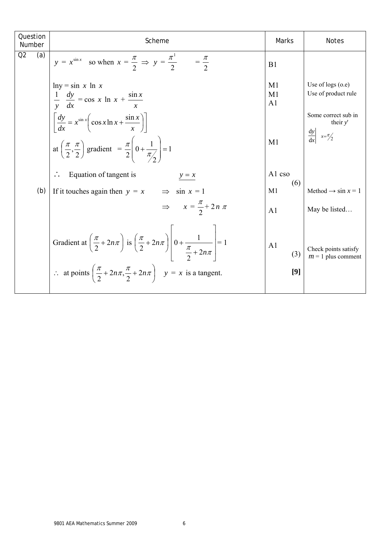| Q2<br>(a)<br>$y = x^{\sin x}$ so when $x = \frac{\pi}{2} \implies y = \frac{\pi^1}{2} = \frac{\pi}{2}$                                                                                                                                                      | B <sub>1</sub>                         |                                                                |
|-------------------------------------------------------------------------------------------------------------------------------------------------------------------------------------------------------------------------------------------------------------|----------------------------------------|----------------------------------------------------------------|
| $ln y = sin x ln x$<br>$rac{1}{y}$ $rac{dy}{dx}$ = cos x ln x + $rac{\sin x}{x}$                                                                                                                                                                            | M1<br>M <sub>1</sub><br>A <sub>1</sub> | Use of $\log s$ (o.e)<br>Use of product rule                   |
| $\left[\frac{dy}{dx} = x^{\sin x} \left( \cos x \ln x + \frac{\sin x}{x} \right) \right]$<br>at $\left(\frac{\pi}{2}, \frac{\pi}{2}\right)$ gradient = $\frac{\pi}{2} \left(0 + \frac{1}{\pi/2}\right) = 1$                                                 | M1                                     | Some correct sub in<br>their $y'$<br>$\frac{dy}{dx}$ $x=\pi/2$ |
| Equation of tangent is<br>$y = x$                                                                                                                                                                                                                           | A1 cso<br>(6)                          |                                                                |
| (b)<br>If it touches again then $y = x$<br>$\Rightarrow$ sin $x = 1$                                                                                                                                                                                        | M <sub>1</sub>                         | Method $\rightarrow$ sin x = 1                                 |
| $\Rightarrow x = \frac{\pi}{2} + 2n \pi$                                                                                                                                                                                                                    | A <sub>1</sub>                         | May be listed                                                  |
| Gradient at $\left(\frac{\pi}{2} + 2n\pi\right)$ is $\left(\frac{\pi}{2} + 2n\pi\right)$ $\left 0 + \frac{1}{\frac{\pi}{2} + 2n\pi}\right  = 1$<br>$\therefore$ at points $\left(\frac{\pi}{2} + 2n\pi, \frac{\pi}{2} + 2n\pi\right)$ $y = x$ is a tangent. | A <sub>1</sub><br>(3)<br>[9]           | Check points satisfy<br>$m = 1$ plus comment                   |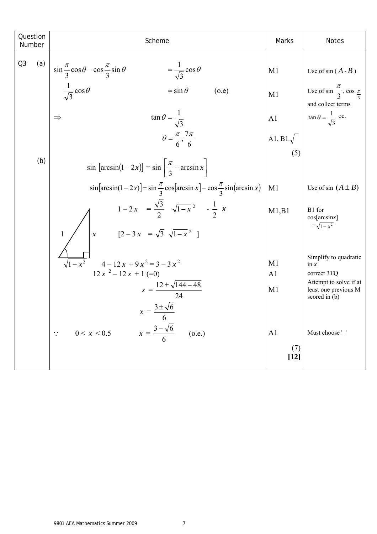| Question<br>Number    | Scheme                                                                                                             | Marks                                       | <b>Notes</b>                                                            |
|-----------------------|--------------------------------------------------------------------------------------------------------------------|---------------------------------------------|-------------------------------------------------------------------------|
| Q <sub>3</sub><br>(a) | $\sin \frac{\pi}{3} \cos \theta - \cos \frac{\pi}{3} \sin \theta$<br>$=\frac{1}{\sqrt{3}}\cos\theta$               | M1                                          | Use of $sin(A - B)$                                                     |
|                       | $\frac{1}{\sqrt{3}}\cos\theta$<br>$=$ sin $\theta$<br>(o.e)                                                        | M <sub>1</sub>                              | Use of $\sin \frac{\pi}{3}$ , $\cos \frac{\pi}{3}$<br>and collect terms |
|                       | $\tan \theta = \frac{1}{\sqrt{3}}$<br>$\Rightarrow$                                                                | A <sub>1</sub>                              | $\tan \theta = \frac{1}{\sqrt{3}}$ oe.                                  |
|                       | $\theta = \frac{\pi}{6}, \frac{7\pi}{6}$                                                                           | A <sub>1</sub> , B <sub>1</sub> $\sqrt{\ }$ |                                                                         |
| (b)                   | $\sin \left[\arcsin(1-2x)\right] = \sin \left[\frac{\pi}{3} - \arcsin x\right]$                                    | (5)                                         |                                                                         |
|                       | $\sin[\arcsin(1-2x)] = \sin\frac{\pi}{3}\cos[\arcsin x] - \cos\frac{\pi}{3}\sin(\arcsin x)$                        | M1                                          | <u>Use</u> of sin $(A \pm B)$                                           |
|                       | $1-2x = \frac{\sqrt{3}}{2} \sqrt{1-x^2} - \frac{1}{2}x$<br>$x$ [2 - 3x = $\sqrt{3} \sqrt{1-x^2}$ ]<br>$\mathbf{1}$ | M1,B1                                       | B1 for<br>cos[arcsinx]<br>$=\sqrt{1-x^2}$                               |
|                       | $4-12x+9x^2=3-3x^2$<br>$12x^{2} - 12x + 1 = 0$                                                                     | M <sub>1</sub><br>A <sub>1</sub>            | Simplify to quadratic<br>in $\mathbf{x}$<br>correct 3TQ                 |
|                       | $x = \frac{12 \pm \sqrt{144 - 48}}{24}$                                                                            | M <sub>1</sub>                              | Attempt to solve if at<br>least one previous M<br>scored in $(b)$       |
|                       | $x = \frac{3 \pm \sqrt{6}}{2}$<br>6                                                                                |                                             |                                                                         |
|                       | $x = \frac{3 - \sqrt{6}}{6}$<br>(0.e.)<br>0 < x < 0.5                                                              | A <sub>1</sub>                              | Must choose '_'                                                         |
|                       |                                                                                                                    | (7)<br>$[12]$                               |                                                                         |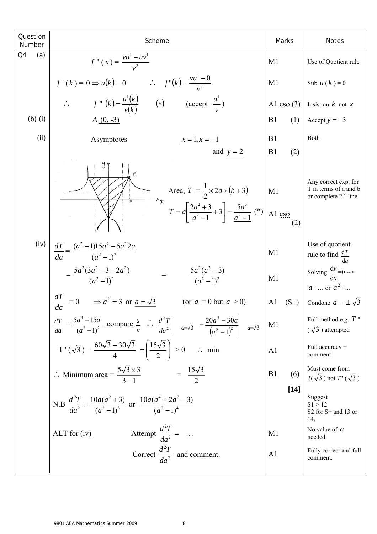| Question<br>Number | Scheme                                                                                                                                                                                         | Marks                                           | <b>Notes</b>                                                                       |
|--------------------|------------------------------------------------------------------------------------------------------------------------------------------------------------------------------------------------|-------------------------------------------------|------------------------------------------------------------------------------------|
| Q4<br>(a)          | $f''(x) = \frac{vu^1 - uv^1}{v^2}$                                                                                                                                                             | M1                                              | Use of Quotient rule                                                               |
|                    | $f'(k) = 0 \Rightarrow u(k) = 0$ $\therefore$ $f''(k) = \frac{vu^1 - 0}{v^2}$                                                                                                                  | M1                                              | Sub $u(k) = 0$                                                                     |
|                    | $f''(k) = \frac{u^{1}(k)}{v(k)}$ (*) (accept $\frac{u^{1}}{v}$ )                                                                                                                               | Al $\cos(3)$                                    | Insist on $k$ not $x$                                                              |
| $(b)$ (i)          | $A(0, -3)$                                                                                                                                                                                     | (1)<br>B <sub>1</sub>                           | Accept $y = -3$                                                                    |
| (ii)               | Asymptotes<br>$x = 1, x = -1$<br>and $y = 2$                                                                                                                                                   | B1<br>B <sub>1</sub><br>(2)                     | Both                                                                               |
|                    | Area, $T = \frac{1}{2} \times 2a \times (b+3)$<br>$T = a \left[ \frac{2a^2 + 3}{a^2 - 1} + 3 \right] = \frac{5a^3}{a^2 - 1}$ (*)                                                               | M1<br>Al $\frac{\text{CSO}}{\text{CSO}}$<br>(2) | Any correct exp. for<br>T in terms of a and b<br>or complete $2nd$ line            |
| (iv)               | $\frac{dT}{da} = \frac{(a^2 - 1)15a^2 - 5a^3 2a}{(a^2 - 1)^2}$<br>$=\frac{5a^2(3a^2-3-2a^2)}{(a^2-1)^2}$<br>$=\frac{5a^2(a^2-3)}{(a^2-1)^2}$                                                   | M1                                              | Use of quotient<br>rule to find $\frac{dT}{da}$<br>Solving $\frac{dy}{dx} = 0$ --> |
|                    | $rac{dT}{da}$ = 0 $\Rightarrow a^2 = 3$ or $a = \sqrt{3}$<br>(or $a = 0$ but $a > 0$ )                                                                                                         | M <sub>1</sub><br>$(S^{+})$<br>A <sub>1</sub>   | $a = \dots$ or $a^2 = \dots$<br>Condone $a = \pm \sqrt{3}$                         |
|                    | $\frac{dT}{da} = \frac{5a^4 - 15a^2}{(a^2 - 1)^2}$ compare $\frac{u}{v}$ $\therefore$ $\frac{d^2T}{da^2}$ $\qquad = \frac{20a^3 - 30a}{(a^2 - 1)^2}$ $\qquad = \frac{4a^3 - 15a}{(a^2 - 1)^2}$ | $\mathbf{M}1$                                   | Full method e.g. $T$ "<br>$(\sqrt{3})$ attempted                                   |
|                    | T" $(\sqrt{3}) = \frac{60\sqrt{3} - 30\sqrt{3}}{4} = \left(\frac{15\sqrt{3}}{2}\right) > 0$ min                                                                                                | A1                                              | Full accuracy +<br>comment                                                         |
|                    | $\therefore$ Minimum area = $\frac{5\sqrt{3} \times 3}{3 \cdot 1}$ = $\frac{15\sqrt{3}}{2}$                                                                                                    | B1<br>(6)                                       | Must come from<br>$T(\sqrt{3})$ not $T'(\sqrt{3})$                                 |
|                    | N.B $\frac{d^2T}{da^2} = \frac{10a(a^2+3)}{(a^2-1)^3}$ or $\frac{10a(a^4+2a^2-3)}{(a^2-1)^4}$                                                                                                  | $[14]$                                          | Suggest<br>S1 > 12<br>S <sub>2</sub> for S <sup>+</sup> and 13 or<br>14.           |
|                    | Attempt $\frac{d^2T}{da^2} =$<br>$ALT$ for (iv)                                                                                                                                                | M1                                              | No value of $a$<br>needed.                                                         |
|                    | Correct $\frac{d^2T}{da^2}$ and comment.                                                                                                                                                       | A <sub>1</sub>                                  | Fully correct and full<br>comment.                                                 |
|                    |                                                                                                                                                                                                |                                                 |                                                                                    |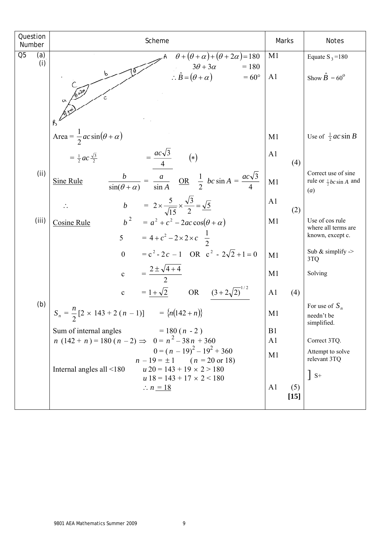| Question<br>Number    | Scheme                                                                                                                       | Marks                           | <b>Notes</b>                                                                  |
|-----------------------|------------------------------------------------------------------------------------------------------------------------------|---------------------------------|-------------------------------------------------------------------------------|
| Q <sub>5</sub><br>(a) | $\theta + (\theta + \alpha) + (\theta + 2\alpha) = 180$                                                                      | M <sub>1</sub>                  | Equate S <sub>3</sub> = 180                                                   |
| (i)                   | $3\theta + 3\alpha$<br>$= 180$<br>$\therefore \hat{B} = (\theta + \alpha)$<br>$=60^{\circ}$<br>$6 + 20$                      | A <sub>1</sub>                  | Show $\hat{B} = 60^{\circ}$                                                   |
|                       |                                                                                                                              |                                 |                                                                               |
|                       | Area = $\frac{1}{2}ac\sin(\theta + \alpha)$                                                                                  | M1                              | Use of $\frac{1}{2}ac \sin B$                                                 |
|                       | $=\frac{ac\sqrt{3}}{4}$<br>$=\frac{1}{2}ac\frac{\sqrt{3}}{2}$<br>$(\ast)$                                                    | A <sub>1</sub><br>(4)           |                                                                               |
| (i)                   | $\frac{b}{\sin(\theta + \alpha)} = \frac{a}{\sin A}$ OR $\frac{1}{2}$ $bc \sin A = \frac{ac\sqrt{3}}{4}$<br><b>Sine Rule</b> | M1                              | Correct use of sine<br>rule or $\frac{1}{2}bc \sin A$ and<br>$\left(a\right)$ |
|                       | b = $2 \times \frac{5}{\sqrt{15}} \times \frac{\sqrt{3}}{2} = \frac{\sqrt{5}}{2}$                                            | A <sub>1</sub><br>(2)           |                                                                               |
| (iii)                 | $b^2 = a^2 + c^2 - 2ac \cos(\theta + \alpha)$<br><b>Cosine Rule</b><br>5 = $4 + c^2 - 2 \times 2 \times c \frac{1}{2}$       | M1                              | Use of cos rule<br>where all terms are<br>known, except c.                    |
|                       | $= c2 - 2c - 1$ OR $c2 - 2\sqrt{2} + 1 = 0$<br>$\overline{0}$                                                                | M1                              | Sub & simplify $\ge$<br>3TQ                                                   |
|                       | $=\frac{2\pm\sqrt{4+4}}{2}$<br>$\mathbf{c}$                                                                                  | M1                              | Solving                                                                       |
|                       | $= 1 + \sqrt{2}$ OR<br>$(3+2\sqrt{2})^1$<br>$\mathbf{c}$                                                                     | A <sub>1</sub><br>(4)           |                                                                               |
| (b)                   | $S_n = \frac{n}{2} [2 \times 143 + 2 (n - 1)]$ = {n(142 + n)}                                                                | M <sub>1</sub>                  | For use of $S_n$<br>needn't be<br>simplified.                                 |
|                       | Sum of internal angles<br>$= 180(n - 2)$                                                                                     | B <sub>1</sub>                  |                                                                               |
|                       | $n(142 + n) = 180(n-2) \Rightarrow 0 = n^2 - 38n + 360$<br>$0 = (n - 19)^{2} - 19^{2} + 360$                                 | A <sub>1</sub>                  | Correct 3TQ.<br>Attempt to solve                                              |
|                       | $n-19 = \pm 1$ $(n = 20 \text{ or } 18)$                                                                                     | M1                              | relevant 3TQ                                                                  |
|                       | $u 20 = 143 + 19 \times 2 > 180$<br>Internal angles all $\leq 180$<br>$u 18 = 143 + 17 \times 2 < 180$                       |                                 | $\vert$ S+                                                                    |
|                       | $\therefore n = 18$                                                                                                          | A <sub>1</sub><br>(5)<br>$[15]$ |                                                                               |
|                       |                                                                                                                              |                                 |                                                                               |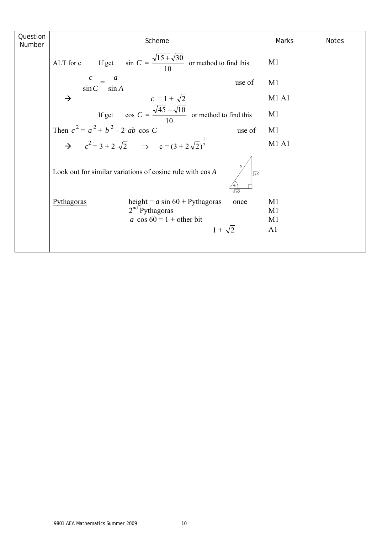| Question<br>Number | Scheme                                                                                                                      | Marks                                                    | <b>Notes</b> |
|--------------------|-----------------------------------------------------------------------------------------------------------------------------|----------------------------------------------------------|--------------|
|                    | If get $\sin C = \frac{\sqrt{15 + \sqrt{30}}}{10}$ or method to find this<br>$ALT$ for c                                    | M <sub>1</sub>                                           |              |
|                    | $\frac{c}{\sin C} = \frac{a}{\sin A}$<br>use of                                                                             | M <sub>1</sub>                                           |              |
|                    | $c = 1 + \sqrt{2}$<br>$\rightarrow$                                                                                         | M1 A1                                                    |              |
|                    | If get $\cos C = \frac{\sqrt{45} - \sqrt{10}}{10}$ or method to find this                                                   | M1                                                       |              |
|                    | Then $c^2 = a^2 + b^2 - 2$ ab cos C<br>use of                                                                               | M1                                                       |              |
|                    | $\rightarrow$ $c^2 = 3 + 2\sqrt{2}$ $\Rightarrow$ $c = (3 + 2\sqrt{2})^{\frac{1}{2}}$                                       | <b>M1 A1</b>                                             |              |
|                    | Look out for similar variations of cosine rule with cos A<br>$\sqrt{15}$<br>जन्न                                            |                                                          |              |
|                    | height = $a \sin 60$ + Pythagoras<br>Pythagoras<br>once<br>$2nd$ Pythagoras<br>a cos $60 = 1 +$ other bit<br>$1 + \sqrt{2}$ | M1<br>M <sub>1</sub><br>M <sub>1</sub><br>A <sub>1</sub> |              |
|                    |                                                                                                                             |                                                          |              |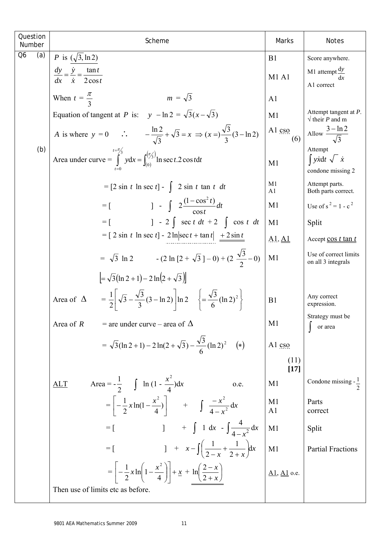| Question<br>Number | Scheme                                                                                                                                    | Marks                                 | <b>Notes</b>                                                       |
|--------------------|-------------------------------------------------------------------------------------------------------------------------------------------|---------------------------------------|--------------------------------------------------------------------|
| Q6<br>(a)          | <i>P</i> is $(\sqrt{3}, \ln 2)$                                                                                                           | B1                                    | Score anywhere.                                                    |
|                    | $\frac{dy}{dx} = \frac{\dot{y}}{\dot{x}} = \frac{\tan t}{2\cos t}$                                                                        | <b>M1 A1</b>                          | M1 attempt $\frac{dy}{dx}$<br>dx                                   |
|                    | $m = \sqrt{3}$                                                                                                                            |                                       | A1 correct                                                         |
|                    | When $t = \frac{\pi}{2}$                                                                                                                  | A <sub>1</sub>                        | Attempt tangent at $P$ .                                           |
|                    | Equation of tangent at P is: $y - \ln 2 = \sqrt{3}(x - \sqrt{3})$                                                                         | M1                                    | $\sqrt{\text{their } P \text{ and } m}$                            |
|                    | A is where $y = 0$ $\therefore$ $-\frac{\ln 2}{\sqrt{3}} + \sqrt{3} = x \implies (x =) \frac{\sqrt{3}}{3} (3 - \ln 2)$                    | Al cso<br>(6)                         | Allow $\frac{3-\ln 2}{\sqrt{3}}$                                   |
| (b)                | Area under curve = $\int_{0}^{t=\pi/3} ydx = \int_{0}^{(\pi/3)} \ln \sec t . 2 \cos t dt$                                                 | M1                                    | Attempt<br>$\int y \dot{x} dt \sqrt{\dot{x}}$<br>condone missing 2 |
|                    | $=$ [2 sin t ln sec t] -   2 sin t tan t dt                                                                                               | M1<br>A1                              | Attempt parts.<br>Both parts correct.                              |
|                    | $=$ [ $1 - \int 2 \frac{(1 - \cos^2 t)}{\cos t} dt$                                                                                       | M <sub>1</sub>                        | Use of $s^2 = 1 - c^2$                                             |
|                    | ] - 2 $\int \sec t \, dt$ + 2 $\int \cos t \, dt$<br>$=$ $\lceil$                                                                         | M1                                    | Split                                                              |
|                    | $= [2 \sin t \ln \sec t] - 2 \ln  \sec t + \tan t  + 2 \sin t$                                                                            | $A1, \underline{A1}$                  | Accept cos t tan t                                                 |
|                    | = $\sqrt{3} \ln 2$ - $(2 \ln [2 + \sqrt{3}] - 0) + (2 \frac{\sqrt{3}}{2} - 0)$                                                            | M <sub>1</sub>                        | Use of correct limits<br>on all 3 integrals                        |
|                    | $=\sqrt{3}(\ln 2 + 1) - 2 \ln(2 + \sqrt{3}))$                                                                                             |                                       |                                                                    |
|                    | $=\frac{1}{2}\left[\sqrt{3}-\frac{\sqrt{3}}{3}(3-\ln 2)\right]\ln 2 \quad \left\{\frac{\sqrt{3}}{6}(\ln 2)^2\right\}$<br>Area of $\Delta$ | B1                                    | Any correct<br>expression.                                         |
|                    | Area of $R$<br>$=$ are under curve – area of $\Delta$                                                                                     | M1                                    | Strategy must be<br>or area                                        |
|                    | = $\sqrt{3}(\ln 2 + 1) - 2\ln(2 + \sqrt{3}) - \frac{\sqrt{3}}{6}(\ln 2)^2$ (*)                                                            | Al cso                                |                                                                    |
|                    |                                                                                                                                           | (11)<br>$[17]$                        |                                                                    |
|                    | Area = $-\frac{1}{2}$ $\int \ln(1 - \frac{x^2}{4}) dx$<br>ALT<br>o.e.                                                                     | M <sub>1</sub>                        | Condone missing $-\frac{1}{2}$                                     |
|                    | $=\left[-\frac{1}{2}x\ln(1-\frac{x^2}{4})\right]$ + $\int \frac{-x^2}{4-x^2}dx$                                                           | M <sub>1</sub><br>A1                  | Parts<br>correct                                                   |
|                    | $\int 1 dx - \int \frac{4}{4-x^2} dx$<br>$=$ [                                                                                            | M1                                    | Split                                                              |
|                    | $1 + x - \int \left( \frac{1}{2-x} + \frac{1}{2+x} \right) dx$<br>$= \left[ \begin{array}{c}$                                             | M1                                    | <b>Partial Fractions</b>                                           |
|                    | $=\left[-\frac{1}{2}x\ln\left(1-\frac{x^2}{4}\right)\right]+\underline{x}+\ln\left(\frac{2-x}{2+x}\right)$                                | $\underline{A1}, \underline{A1}$ o.e. |                                                                    |
|                    | Then use of limits etc as before.                                                                                                         |                                       |                                                                    |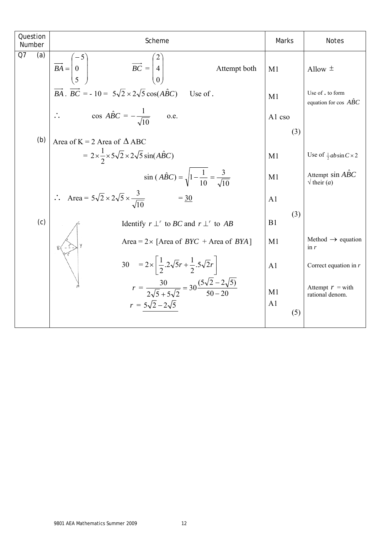| Question                                                                                 | Scheme                                                                                          | Marks                                                             | Notes                                                       |                                       |    |         |
|------------------------------------------------------------------------------------------|-------------------------------------------------------------------------------------------------|-------------------------------------------------------------------|-------------------------------------------------------------|---------------------------------------|----|---------|
| 07                                                                                       | (a)                                                                                             | $\overline{BA} = \begin{pmatrix} -5 \\ 0 \\ 5 \end{pmatrix}$      | $\overline{BC} = \begin{pmatrix} 2 \\ 4 \\ 0 \end{pmatrix}$ | Attempt both                          | M1 | Allow ± |
| $\overline{BA} \cdot \overline{BC} = -10 = 5\sqrt{2} \times 2\sqrt{5} \cos(ABC)$ Use of. | M1                                                                                              | Use of . to form equation for cos $\overline{ABC}$                |                                                             |                                       |    |         |
| ∴ $\cos A\hat{BC} = -\frac{1}{\sqrt{10}}$ one.                                           | M1                                                                                              | Use of . to form equation for cos $\overline{ABC}$                |                                                             |                                       |    |         |
| (b)                                                                                      | Area of K = 2 Area of $\triangle ABC$                                                           | sin $(A\hat{BC}) = \sqrt{1 - \frac{1}{10}} = \frac{3}{\sqrt{10}}$ | M1                                                          | Use of $\frac{1}{3}ab\sin C \times 2$ |    |         |
| ∴ Area = $5\sqrt{2} \times 2\sqrt{5} \times \frac{3}{\sqrt{10}}$                         | = $\frac{30}{\sqrt{10}}$                                                                        | M1                                                                | Although sin $A\hat{BC}$                                    |                                       |    |         |
| (c)                                                                                      | Identify $r \perp r$ to $BC$ and $r \perp r$ to $AB$                                            | B1                                                                |                                                             |                                       |    |         |
| 8(1.10)                                                                                  | Area = $2 \times$ [Area of $BVC$ + Area of $BYA$ ]                                              | M1                                                                | Method $\rightarrow$ equation for cos $A\hat{BC}$           |                                       |    |         |
| 9                                                                                        | $\frac{30}{\sqrt{10}} = 2 \times [\frac{1}{2} \cdot 2\sqrt{5}r + \frac{1}{2} \cdot 5\sqrt{2}r]$ | M1                                                                | Method $\rightarrow$ equation for                           |                                       |    |         |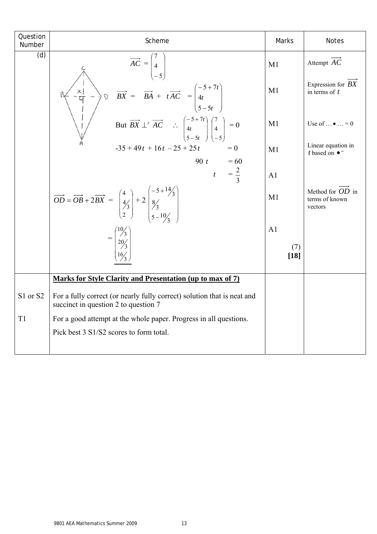| Question<br>Number | Scheme                                                                                                                                                                                                                                                                               | Marks          | <b>Notes</b>                                  |
|--------------------|--------------------------------------------------------------------------------------------------------------------------------------------------------------------------------------------------------------------------------------------------------------------------------------|----------------|-----------------------------------------------|
| $\overline{d}$     | $\overrightarrow{AC} = \begin{pmatrix} 7 \\ 4 \\ -5 \end{pmatrix}$                                                                                                                                                                                                                   | M <sub>1</sub> | Attempt AC                                    |
|                    | $\overrightarrow{BX} = \overrightarrow{BA} + t\overrightarrow{AC} = \begin{pmatrix} -5+7t \\ 4t \\ 5-5t \end{pmatrix}$<br>But $\overrightarrow{BX} \perp^r \overrightarrow{AC}$ : $\begin{pmatrix} -5+7t \\ 4t \\ 5-5t \end{pmatrix} \begin{pmatrix} 7 \\ 4 \\ -5 \end{pmatrix} = 0$ | M1             | Expression for $BX$<br>in terms of $t$        |
|                    |                                                                                                                                                                                                                                                                                      | M1             | Use of $\dots$ $\bullet$ $\dots$ = 0          |
|                    | $-35 + 49t + 16t - 25 + 25t$<br>$= 0$                                                                                                                                                                                                                                                | M1             | Linear equation in<br>t based on $\bullet^-$  |
|                    | 90 t = 60<br>t = $\frac{2}{3}$                                                                                                                                                                                                                                                       | A <sub>1</sub> |                                               |
|                    | $\overrightarrow{OD} = \overrightarrow{OB} + 2\overrightarrow{BX} = \begin{pmatrix} 4 \\ 4/3 \\ 2 \end{pmatrix} + 2 \begin{pmatrix} -5 + 14/3 \\ 8/3 \\ 5 - 10/3 \end{pmatrix}$                                                                                                      | M1             | Method for OD in<br>terms of known<br>vectors |
|                    | $=\begin{bmatrix} \frac{10}{3} \\ \frac{20}{3} \\ \frac{16}{3} \end{bmatrix}$                                                                                                                                                                                                        | A <sub>1</sub> |                                               |
|                    |                                                                                                                                                                                                                                                                                      | (7)<br>$[18]$  |                                               |
|                    | Marks for Style Clarity and Presentation (up to max of 7)                                                                                                                                                                                                                            |                |                                               |
| S1 or S2           | For a fully correct (or nearly fully correct) solution that is neat and<br>succinct in question 2 to question 7                                                                                                                                                                      |                |                                               |
| T1                 | For a good attempt at the whole paper. Progress in all questions.                                                                                                                                                                                                                    |                |                                               |
|                    | Pick best 3 S1/S2 scores to form total.                                                                                                                                                                                                                                              |                |                                               |